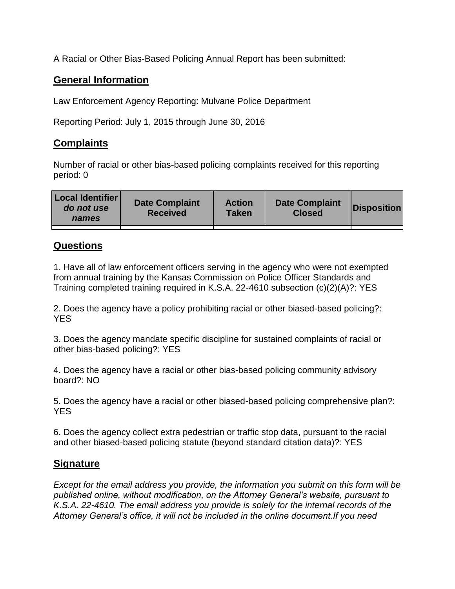A Racial or Other Bias-Based Policing Annual Report has been submitted:

## **General Information**

Law Enforcement Agency Reporting: Mulvane Police Department

Reporting Period: July 1, 2015 through June 30, 2016

## **Complaints**

Number of racial or other bias-based policing complaints received for this reporting period: 0

| <b>Local Identifier</b><br>do not use<br>names | <b>Date Complaint</b><br><b>Received</b> | <b>Action</b><br><b>Taken</b> | <b>Date Complaint</b><br><b>Closed</b> | Disposition |
|------------------------------------------------|------------------------------------------|-------------------------------|----------------------------------------|-------------|
|                                                |                                          |                               |                                        |             |

## **Questions**

1. Have all of law enforcement officers serving in the agency who were not exempted from annual training by the Kansas Commission on Police Officer Standards and Training completed training required in K.S.A. 22-4610 subsection (c)(2)(A)?: YES

2. Does the agency have a policy prohibiting racial or other biased-based policing?: YES

3. Does the agency mandate specific discipline for sustained complaints of racial or other bias-based policing?: YES

4. Does the agency have a racial or other bias-based policing community advisory board?: NO

5. Does the agency have a racial or other biased-based policing comprehensive plan?: YES

6. Does the agency collect extra pedestrian or traffic stop data, pursuant to the racial and other biased-based policing statute (beyond standard citation data)?: YES

## **Signature**

*Except for the email address you provide, the information you submit on this form will be published online, without modification, on the Attorney General's website, pursuant to K.S.A. 22-4610. The email address you provide is solely for the internal records of the Attorney General's office, it will not be included in the online document.If you need*